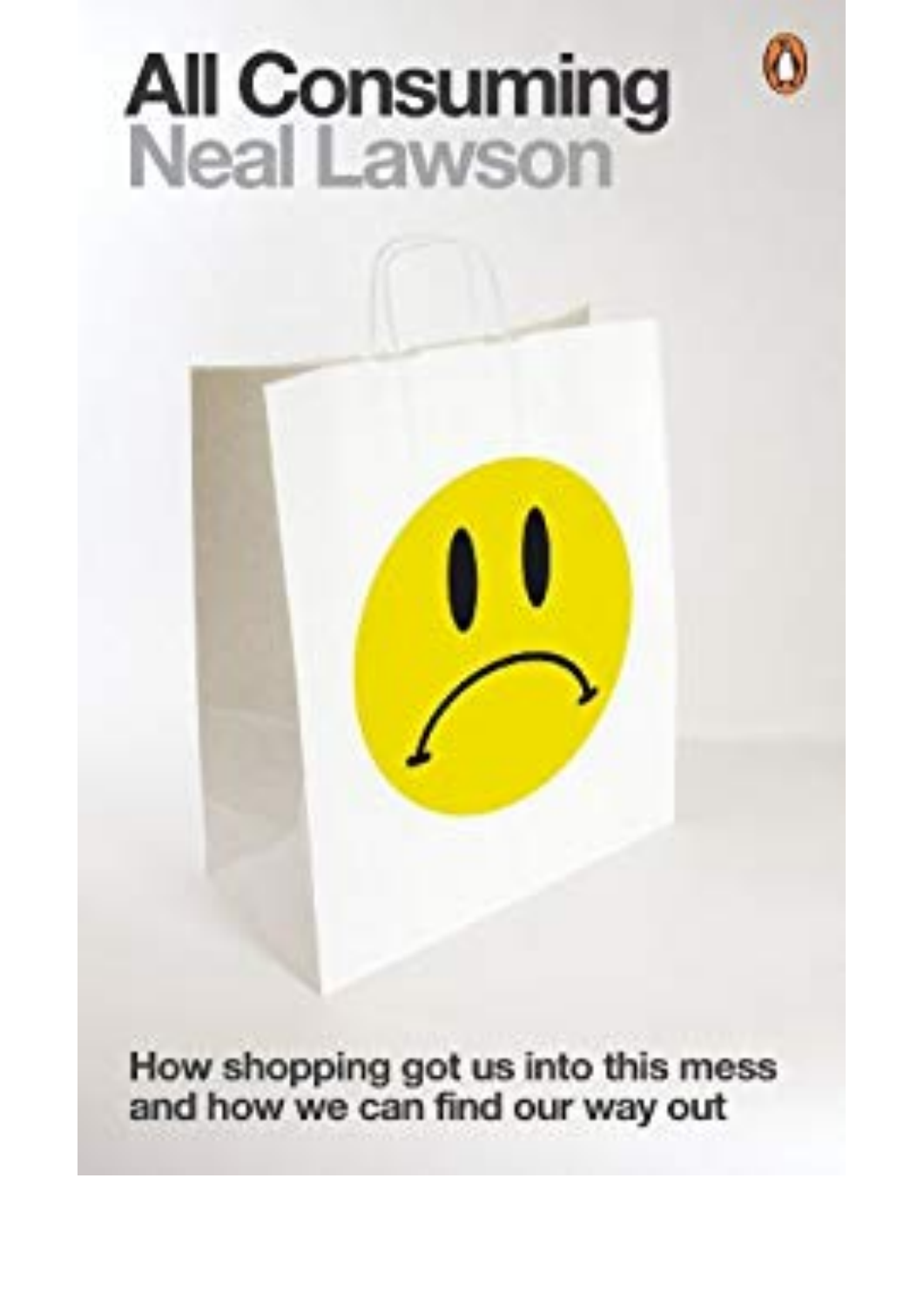## **All Consuming**<br>Neal Lawson

How shopping got us into this mess and how we can find our way out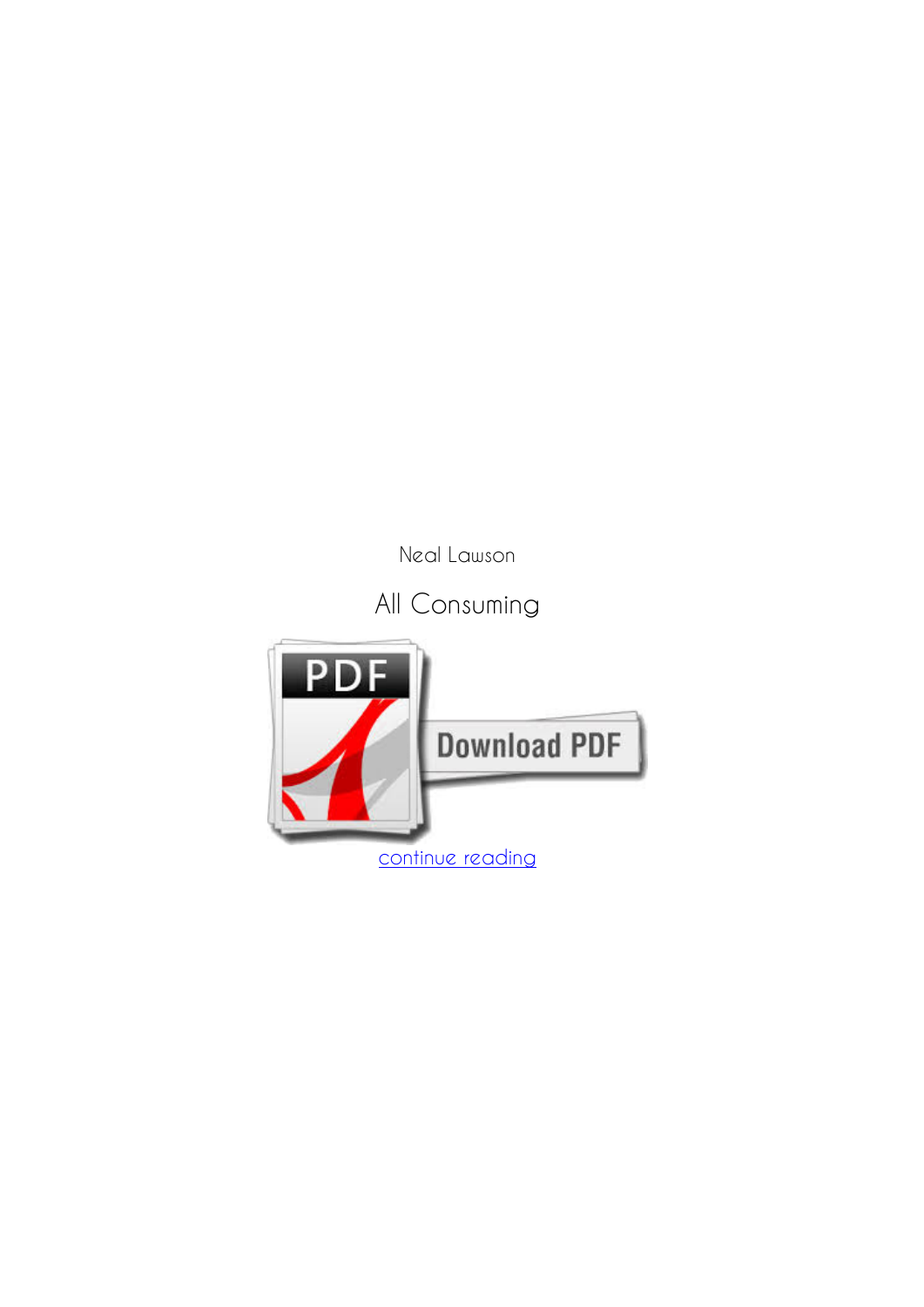*Neal Lawson*

**All Consuming**

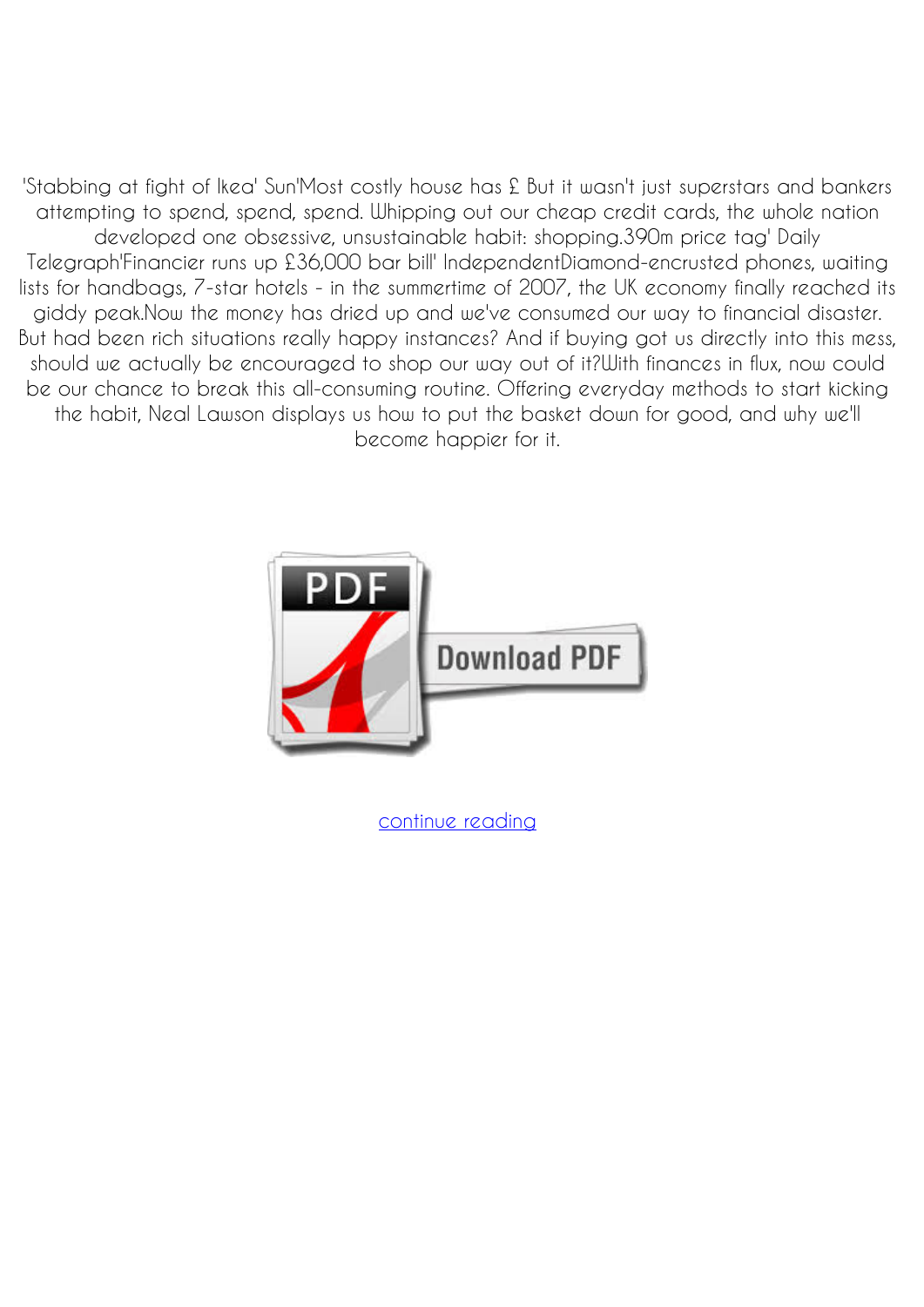'Stabbing at fight of Ikea' Sun'Most costly house has £ But it wasn't just superstars and bankers attempting to spend, spend, spend. Whipping out our cheap credit cards, the whole nation developed one obsessive, unsustainable habit: shopping.390m price tag' Daily Telegraph'Financier runs up £36,000 bar bill' IndependentDiamond-encrusted phones, waiting lists for handbags, 7-star hotels - in the summertime of 2007, the UK economy finally reached its giddy peak.Now the money has dried up and we've consumed our way to financial disaster. But had been rich situations really happy instances? And if buying got us directly into this mess, should we actually be encouraged to shop our way out of it?With finances in flux, now could be our chance to break this all-consuming routine. Offering everyday methods to start kicking the habit, Neal Lawson displays us how to put the basket down for good, and why we'll become happier for it.



[continue reading](http://bit.ly/2Tge8Fv)